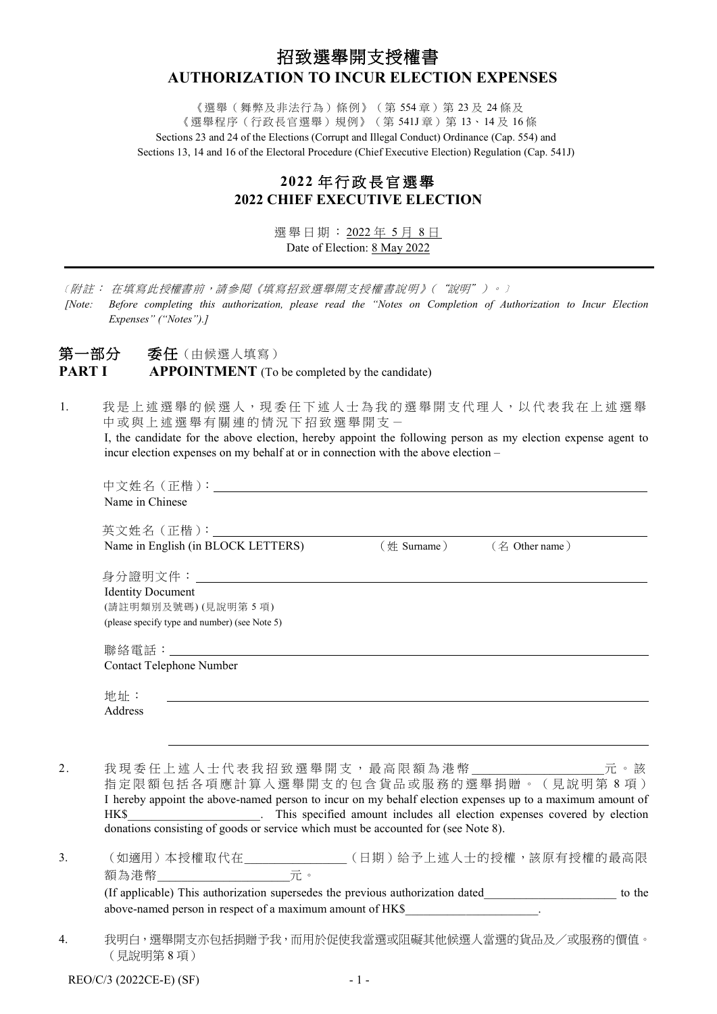# 招致選舉開支授權書 **AUTHORIZATION TO INCUR ELECTION EXPENSES**

《選舉(舞弊及非法行為)條例》(第 554 章)第 23 及 24 條及 《選舉程序(行政長官選舉)規例》(第 541J 章)第 13、14 及 16 條 Sections 23 and 24 of the Elections (Corrupt and Illegal Conduct) Ordinance (Cap. 554) and Sections 13, 14 and 16 of the Electoral Procedure (Chief Executive Election) Regulation (Cap. 541J)

## **2022** 年 行 政 長 官 選舉 **2022 CHIEF EXECUTIVE ELECTION**

選舉日期: 2022 年 5 月 8 日 Date of Election: 8 May 2022

﹝附註: 在填寫此授權書前,請參閱《填寫招致選舉開支授權書說明》("說明")。﹞

*[Note: Before completing this authorization, please read the "Notes on Completion of Authorization to Incur Election Expenses" ("Notes").]*

## 第一部分 委任(由候選人填寫) **PART I APPOINTMENT** (To be completed by the candidate)

1. 我是上述選舉的候選人,現委任下述人士為我的選舉開支代理人,以代表我在上述選舉 中或與上述選舉有關連的情況下招致選舉開支一 I, the candidate for the above election, hereby appoint the following person as my election expense agent to incur election expenses on my behalf at or in connection with the above election –

|    | Name in Chinese                                                                                                              |        |
|----|------------------------------------------------------------------------------------------------------------------------------|--------|
|    |                                                                                                                              |        |
|    |                                                                                                                              |        |
|    | 英文姓名 (正楷):<br>Name in English (in BLOCK LETTERS) (姓 Surname) (名 Other name)                                                  |        |
|    |                                                                                                                              |        |
|    | <b>Identity Document</b>                                                                                                     |        |
|    | (請註明類別及號碼)(見說明第5項)                                                                                                           |        |
|    | (please specify type and number) (see Note 5)                                                                                |        |
|    |                                                                                                                              |        |
|    |                                                                                                                              |        |
|    | Contact Telephone Number                                                                                                     |        |
|    |                                                                                                                              |        |
|    | 地址:<br><u> 1989 - John Stein, september 1989 - Stein Stein Stein Stein Stein Stein Stein Stein Stein Stein Stein Stein S</u> |        |
|    | Address                                                                                                                      |        |
|    |                                                                                                                              |        |
|    |                                                                                                                              |        |
| 2. | 我現委任上述人士代表我招致選舉開支,最高限額為港幣________________元。該                                                                                 |        |
|    | 指定限額包括各項應計算入選舉開支的包含貨品或服務的選舉捐贈。(見說明第8項)                                                                                       |        |
|    | I hereby appoint the above-named person to incur on my behalf election expenses up to a maximum amount of                    |        |
|    | HK\$ This specified amount includes all election expenses covered by election                                                |        |
|    | donations consisting of goods or service which must be accounted for (see Note 8).                                           |        |
| 3. | (如適用)本授權取代在______________(日期)給予上述人士的授權,該原有授權的最高限                                                                             |        |
|    | 額為港幣__________________元。                                                                                                     |        |
|    | (If applicable) This authorization supersedes the previous authorization dated______________________                         | to the |
|    | above-named person in respect of a maximum amount of HK\$                                                                    |        |

4. 我明白,選舉開支亦包括捐贈予我,而用於促使我當選或阻礙其他候選人當選的貨品及/或服務的價值。 (見說明第 8 項)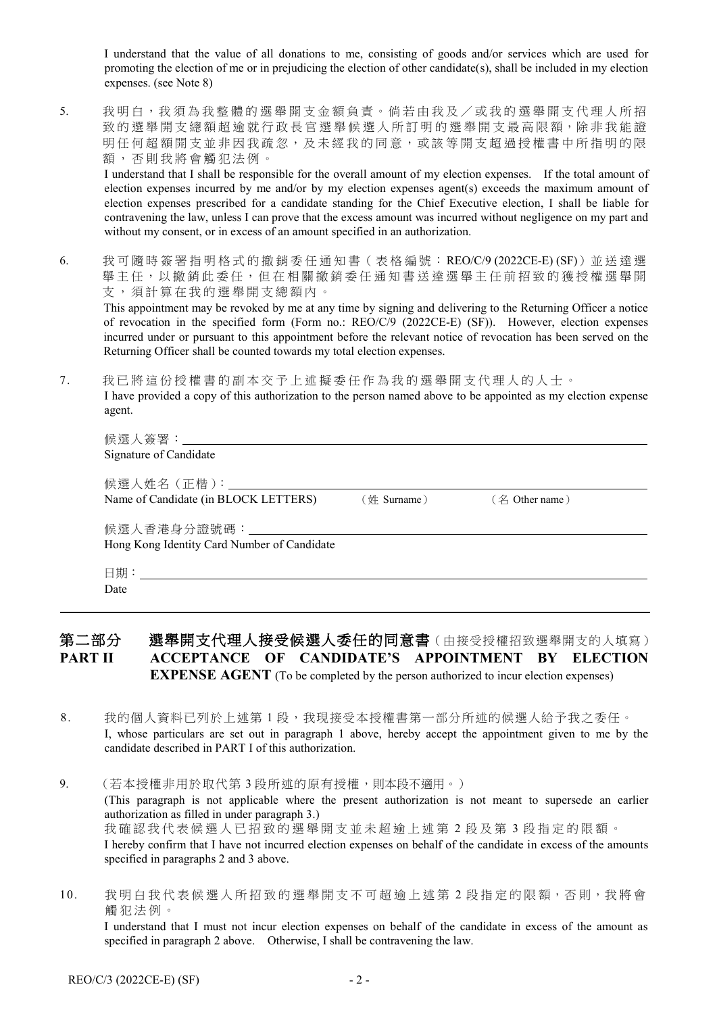I understand that the value of all donations to me, consisting of goods and/or services which are used for promoting the election of me or in prejudicing the election of other candidate(s), shall be included in my election expenses. (see Note 8)

5. 我明白,我須為我整體的選舉開支金額負責。倘若由我及/或我的選舉開支代理人所招 致的選舉開支總額超逾就行政長官選舉候選人所訂明的選舉開支最高限額,除非我能證 明任何超額開支並非因我疏忽,及未經我的同意,或該等開支超過授權書中所指明的限 額,否則我將會觸犯法例。

I understand that I shall be responsible for the overall amount of my election expenses. If the total amount of election expenses incurred by me and/or by my election expenses agent(s) exceeds the maximum amount of election expenses prescribed for a candidate standing for the Chief Executive election, I shall be liable for contravening the law, unless I can prove that the excess amount was incurred without negligence on my part and without my consent, or in excess of an amount specified in an authorization.

6. 我可隨時簽署指明格式的撤銷委任通知書(表格編號: REO/C/9 (2022CE-E) (SF))並送達選 舉主任,以撤銷此委任,但在相關撤銷委任通知書送達選舉主任前招致的獲授權選舉開 支,須計算在我的選舉開支總額內。

This appointment may be revoked by me at any time by signing and delivering to the Returning Officer a notice of revocation in the specified form (Form no.: REO/C/9 (2022CE-E) (SF)). However, election expenses incurred under or pursuant to this appointment before the relevant notice of revocation has been served on the Returning Officer shall be counted towards my total election expenses.

7. 我已將這份 授 權 書 的 副 本 交 予 上 述 擬委任作為我的選舉開支代理人的 人士。

I have provided a copy of this authorization to the person named above to be appointed as my election expense agent.

| Signature of Candidate                                                                     |                |                |
|--------------------------------------------------------------------------------------------|----------------|----------------|
| Name of Candidate (in BLOCK LETTERS)                                                       | $(\#$ Surname) | (名 Other name) |
| 候選人香港身分證號碼:________________________________<br>Hong Kong Identity Card Number of Candidate |                |                |
| Date                                                                                       |                |                |

## 第二部分 選舉開支代理人接受候選人委任的同意書(由接受授權招致選舉開支的人填寫) **PART II ACCEPTANCE OF CANDIDATE'S APPOINTMENT BY ELECTION EXPENSE AGENT** (To be completed by the person authorized to incur election expenses)

- 8. 我的個人資料已列於上述第1段,我現接受本授權書第一部分所述的候選人給予我之委任。 I, whose particulars are set out in paragraph 1 above, hereby accept the appointment given to me by the candidate described in PART I of this authorization.
- 9. (若本授權非用於取代第3段所述的原有授權,則本段不適用。) (This paragraph is not applicable where the present authorization is not meant to supersede an earlier authorization as filled in under paragraph 3.) 我 確 認 我 代表候選人已招致的選舉開支並未超逾上述第 2 段 及 第 3 段指定的限額。 I hereby confirm that I have not incurred election expenses on behalf of the candidate in excess of the amounts specified in paragraphs 2 and 3 above.
- 10. 我明白我代表候選人所招致的選舉開支不可超逾上述第2段指定的限額,否則,我將會 觸 犯 法 例 。 I understand that I must not incur election expenses on behalf of the candidate in excess of the amount as specified in paragraph 2 above. Otherwise, I shall be contravening the law.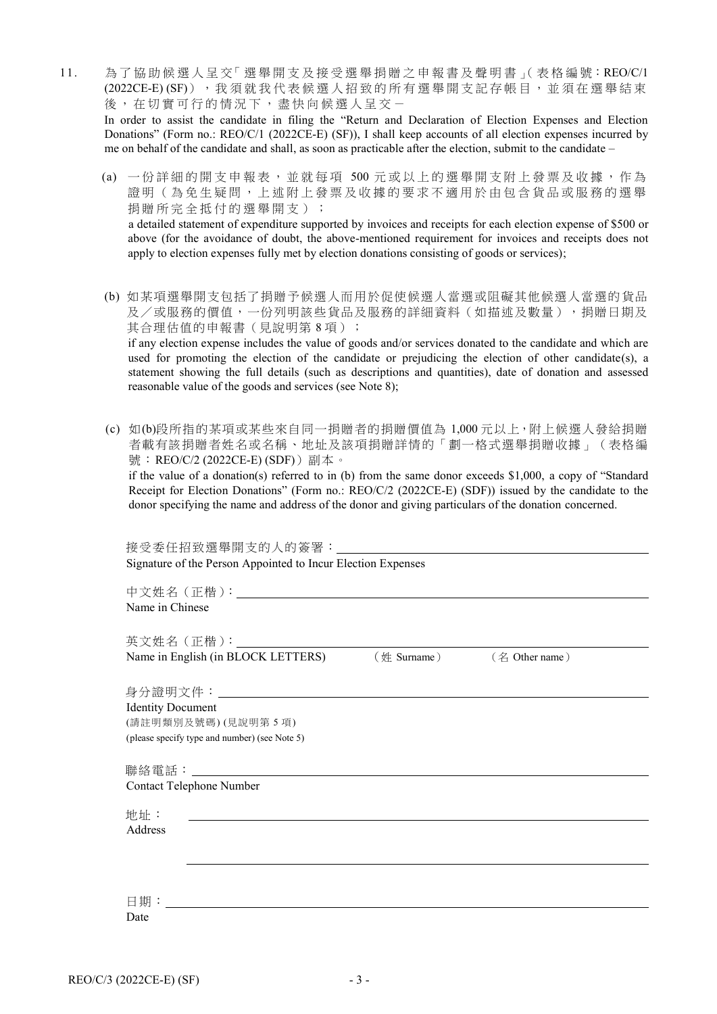- 11. 為了協助候選人 呈 交「 選 舉 開 支 及 接 受 選 舉 捐 贈 之 申 報 書 及 聲 明 書 」( 表 格 編 號:REO/C/1 (2022CE-E) (SF)), 我 須 就 我 代 表 候 選 人 招 致 的 所 有 選 舉 開 支 記 存 帳 目, 並 須 在 選 舉 結 束 後,在切實可行的情況下,盡快向候選人呈交-In order to assist the candidate in filing the "Return and Declaration of Election Expenses and Election Donations" (Form no.: REO/C/1 (2022CE-E) (SF)), I shall keep accounts of all election expenses incurred by me on behalf of the candidate and shall, as soon as practicable after the election, submit to the candidate –
	- (a) 一份詳細的開支申報表,並就每項 500元或以上的選舉開支附上發票及收據,作為 證 明 (為免生疑問,上述附上發票及收據的要求不適用於由包含貨品或服務的選舉 捐贈所完全抵付的選舉開支) ; a detailed statement of expenditure supported by invoices and receipts for each election expense of \$500 or above (for the avoidance of doubt, the above-mentioned requirement for invoices and receipts does not apply to election expenses fully met by election donations consisting of goods or services);
	- (b) 如某項選舉開支包括了捐贈予候選人而用於促使候選人當選或阻礙其他候選人當選的貨品 及/或服務的價值,一份列明該些貨品及服務的詳細資料(如描述及數量),捐贈日期及 其合理估值的申報書(見說明第8項); if any election expense includes the value of goods and/or services donated to the candidate and which are used for promoting the election of the candidate or prejudicing the election of other candidate(s), a statement showing the full details (such as descriptions and quantities), date of donation and assessed reasonable value of the goods and services (see Note 8);
	- (c) 如(b)段所指的某項或某些來自同一捐贈者的捐贈價值為 1,000 元以上,附上候選人發給捐贈 者載有該捐贈者姓名或名稱、地址及該項捐贈詳情的「劃一格式選舉捐贈收據」(表格編 號: REO/C/2 (2022CE-E) (SDF))副本。 if the value of a donation(s) referred to in (b) from the same donor exceeds \$1,000, a copy of "Standard

Receipt for Election Donations" (Form no.: REO/C/2 (2022CE-E) (SDF)) issued by the candidate to the donor specifying the name and address of the donor and giving particulars of the donation concerned.

接受委任招致選舉開支的人的簽署: Signature of the Person Appointed to Incur Election Expenses

| Name in Chinese                               |                                    |                            |  |
|-----------------------------------------------|------------------------------------|----------------------------|--|
|                                               |                                    |                            |  |
|                                               | 英文姓名 (正楷):_____________            |                            |  |
|                                               | Name in English (in BLOCK LETTERS) | (姓 Surname) (名 Other name) |  |
|                                               |                                    |                            |  |
|                                               | 身分證明文件:______________________      |                            |  |
| <b>Identity Document</b>                      |                                    |                            |  |
| (請註明類別及號碼)(見說明第5項)                            |                                    |                            |  |
| (please specify type and number) (see Note 5) |                                    |                            |  |
|                                               |                                    |                            |  |
|                                               |                                    |                            |  |
| Contact Telephone Number                      |                                    |                            |  |
|                                               |                                    |                            |  |
| 地址:<br>Address                                |                                    |                            |  |
|                                               |                                    |                            |  |
|                                               |                                    |                            |  |
|                                               |                                    |                            |  |
|                                               |                                    |                            |  |
| 日期:_________                                  |                                    |                            |  |
| Date                                          |                                    |                            |  |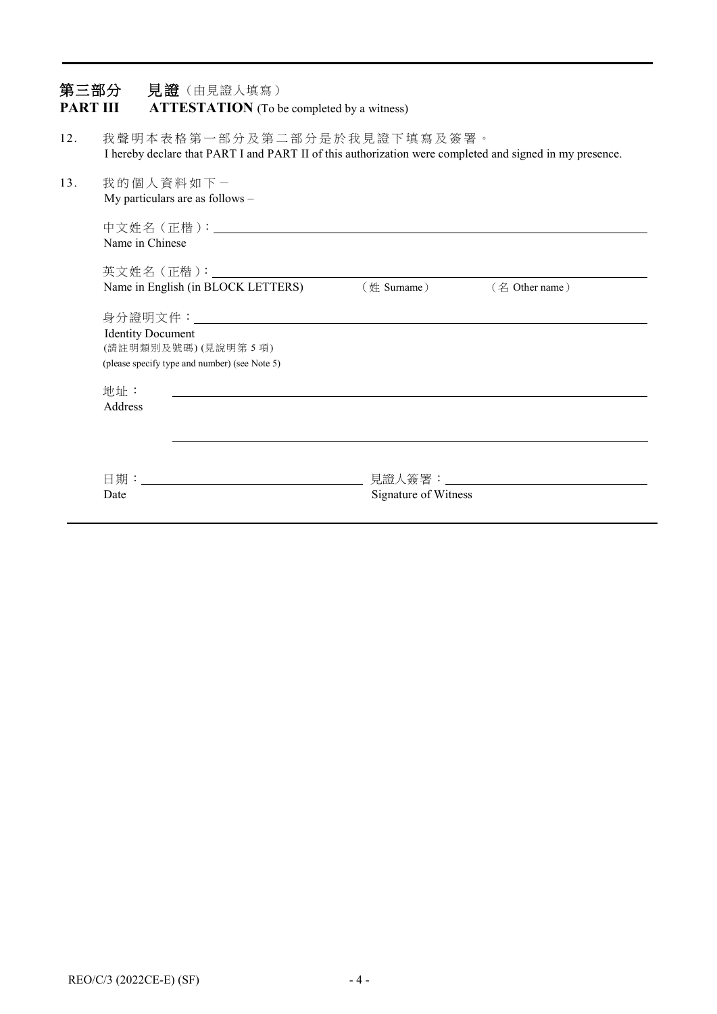| 第三部分<br><b>PART III</b> |                                                                                                                                         |  | 見證 (由見證人填寫)                                                         | <b>ATTESTATION</b> (To be completed by a witness) |                      |                |  |
|-------------------------|-----------------------------------------------------------------------------------------------------------------------------------------|--|---------------------------------------------------------------------|---------------------------------------------------|----------------------|----------------|--|
| 12.                     | 我聲明本表格第一部分及第二部分是於我見證下填寫及簽署。<br>I hereby declare that PART I and PART II of this authorization were completed and signed in my presence. |  |                                                                     |                                                   |                      |                |  |
| 13.                     | 我的個人資料如下一                                                                                                                               |  | My particulars are as follows -                                     |                                                   |                      |                |  |
|                         | Name in Chinese                                                                                                                         |  |                                                                     |                                                   |                      |                |  |
|                         |                                                                                                                                         |  | Name in English (in BLOCK LETTERS)                                  |                                                   | $(\#$ Surname)       | (名 Other name) |  |
|                         | <b>Identity Document</b>                                                                                                                |  | (請註明類別及號碼)(見說明第5項)<br>(please specify type and number) (see Note 5) |                                                   |                      |                |  |
|                         | 地址:<br>Address                                                                                                                          |  |                                                                     |                                                   |                      |                |  |
|                         | Date                                                                                                                                    |  |                                                                     |                                                   | Signature of Witness |                |  |
|                         |                                                                                                                                         |  |                                                                     |                                                   |                      |                |  |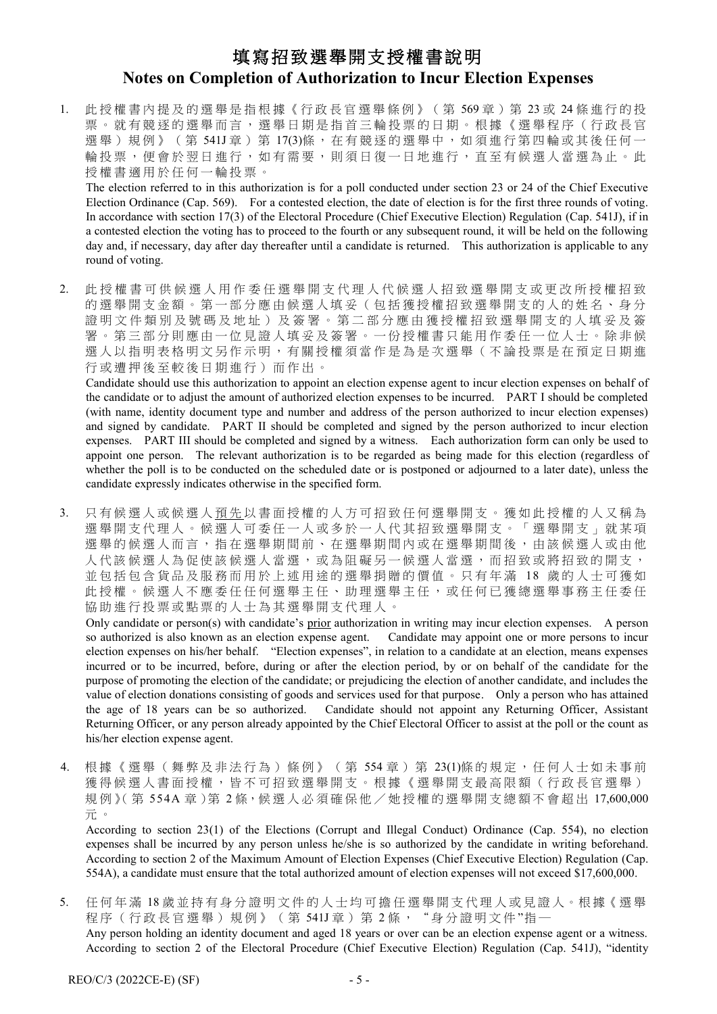# 填寫招致選舉開支授權書說明 **Notes on Completion of Authorization to Incur Election Expenses**

1. 此授權書內提及的選舉是指根據《行政長官選舉條例》(第569章)第23或 24條進行的投 票。就有競逐的選舉而言,選舉日期是指首三輪投票的日期。根據《選舉程序(行政長官 選舉)規例》(第541J章)第17(3)條,在有競逐的選舉中,如須進行第四輪或其後任何一 輪投票,便會於翌日進行,如有需要,則須日復一日地進行,直至有候選人當選為止。此 授權書適用於任何一輪投票 。

The election referred to in this authorization is for a poll conducted under section 23 or 24 of the Chief Executive Election Ordinance (Cap. 569). For a contested election, the date of election is for the first three rounds of voting. In accordance with section 17(3) of the Electoral Procedure (Chief Executive Election) Regulation (Cap. 541J), if in a contested election the voting has to proceed to the fourth or any subsequent round, it will be held on the following day and, if necessary, day after day thereafter until a candidate is returned. This authorization is applicable to any round of voting.

2. 此 授 權 書 可 供 候 選 人 用 作 委 任 選 舉 開 支 代 理 人 代 候 選 人 招 致 選 舉 開 支 或 更 改 所 授 權 招 致 的選舉開支金額。第一部分應由候選人填妥(包括獲授權招致選舉開支的人的姓名、身分 證明文件類別及號碼及地址)及簽署。第二部分應由獲授權招致選舉開支的人填妥及簽 署。第三部分則應由一位見證人填妥及簽署。一份授權書只能用作委任一位人士。除非候 選人以指明表格明文另作示明, 有關授權須當作是為是次選舉(不論投票是在預定日期進 行或遭押後 至較後日期 進行) 而作出。

Candidate should use this authorization to appoint an election expense agent to incur election expenses on behalf of the candidate or to adjust the amount of authorized election expenses to be incurred. PART I should be completed (with name, identity document type and number and address of the person authorized to incur election expenses) and signed by candidate. PART II should be completed and signed by the person authorized to incur election expenses. PART III should be completed and signed by a witness. Each authorization form can only be used to appoint one person. The relevant authorization is to be regarded as being made for this election (regardless of whether the poll is to be conducted on the scheduled date or is postponed or adjourned to a later date), unless the candidate expressly indicates otherwise in the specified form.

3. 只有候選人或候選人預先以書面授權的人方可招致任何選舉開支。獲如此授權的人又稱為 選舉開支代理人。候選人可委任一人或多於一人代其招致選舉開支。「選舉開支」就某項 選舉的候選人而言,指在選舉期間內或相關內或在選舉期間後,由該候選人或由他 人代該候選人為促使該候選人當選,或為阻礙另一候選人當選,而招致或將招致的開支, 並包括包含貨品及服務而用於上述用途的選舉捐贈的價值。只有年滿 18 歲的人士可獲如 此 授 權 。候選人 不 應 委 任 任 何 選舉主任、助理選舉主任 , 或任何已獲總選舉事務主任委任 協助進行投票或點票的人士為其選舉開支代理人。

Only candidate or person(s) with candidate's prior authorization in writing may incur election expenses. A person so authorized is also known as an election expense agent. Candidate may appoint one or more persons to incur election expenses on his/her behalf. "Election expenses", in relation to a candidate at an election, means expenses incurred or to be incurred, before, during or after the election period, by or on behalf of the candidate for the purpose of promoting the election of the candidate; or prejudicing the election of another candidate, and includes the value of election donations consisting of goods and services used for that purpose. Only a person who has attained the age of 18 years can be so authorized. Candidate should not appoint any Returning Officer, Assistant Returning Officer, or any person already appointed by the Chief Electoral Officer to assist at the poll or the count as his/her election expense agent.

4. 根據《選舉(舞弊及非法行為)條例》(第 554章)第 23(1)條的規定,任何人士如未事前 獲得候選人書面授權,皆不可招致選舉開支。根據《選舉開支最高限額(行政長官選舉) 規例》(第 554A 章)第 2條,候選人必須確保他/她授權的選舉開支總額不會超出 17,600,000 元 。

According to section 23(1) of the Elections (Corrupt and Illegal Conduct) Ordinance (Cap. 554), no election expenses shall be incurred by any person unless he/she is so authorized by the candidate in writing beforehand. According to section 2 of the Maximum Amount of Election Expenses (Chief Executive Election) Regulation (Cap. 554A), a candidate must ensure that the total authorized amount of election expenses will not exceed \$17,600,000.

5. 任何年滿 18 歲並持有身分證明文件的人士均可擔任選舉開支代理人或見證人。根據《選舉 程序(行政長官選舉)規例》(第541J章)第2條, "身分證明文件"指一 Any person holding an identity document and aged 18 years or over can be an election expense agent or a witness. According to section 2 of the Electoral Procedure (Chief Executive Election) Regulation (Cap. 541J), "identity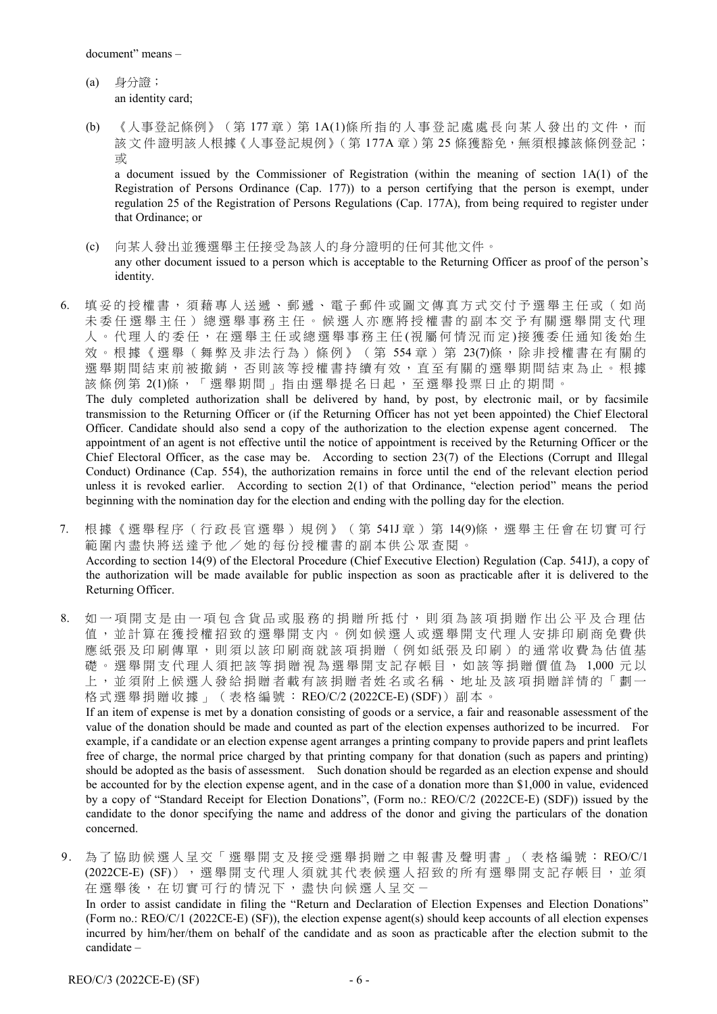- (a) 身分證; an identity card;
- (b) 《人事登記條例》(第177章)第1A(1)條所指的人事登記處處長向某人發出的文件,而 該文件證明該人根據《人事登記規例》(第177A章)第25條獲豁免,無須根據該條例登記; 或

a document issued by the Commissioner of Registration (within the meaning of section 1A(1) of the Registration of Persons Ordinance (Cap. 177)) to a person certifying that the person is exempt, under regulation 25 of the Registration of Persons Regulations (Cap. 177A), from being required to register under that Ordinance; or

- (c) 向某人發出並獲選舉主任接受為該人的身分證明的任何其他文件。 any other document issued to a person which is acceptable to the Returning Officer as proof of the person's identity.
- 6. 填妥的授權書,須藉專人送遞、郵遞、電子郵件或圖文傳真方式交付予選舉主任或(如尚 未 委 任 選 舉 主 任 ) 總 選 舉 事 務 主 任 。 候 選 人 亦 應 將 授 權 書 的 副 本 交 予 有 關 選 舉 開 支 代 理 人 。 代 理 人 的 委 任 , 在 選 舉 主 任 或 總 選 舉 事 務 主 任 (視 屬 何 情 況 而 定 )接 獲 委 任 通 知 後 始 生 效。根據《選舉(舞弊及非法行為)條例》(第 554章)第 23(7)條,除非授權書在有關的 選舉期間結束前被撤銷,否則該等授權書持續有效,直至有關的選舉期間結束為止。根據 該條例第 2(1)條,「選舉期間」指由選舉提名日起,至選舉投票日止的期間。

The duly completed authorization shall be delivered by hand, by post, by electronic mail, or by facsimile transmission to the Returning Officer or (if the Returning Officer has not yet been appointed) the Chief Electoral Officer. Candidate should also send a copy of the authorization to the election expense agent concerned. The appointment of an agent is not effective until the notice of appointment is received by the Returning Officer or the Chief Electoral Officer, as the case may be. According to section 23(7) of the Elections (Corrupt and Illegal Conduct) Ordinance (Cap. 554), the authorization remains in force until the end of the relevant election period unless it is revoked earlier. According to section 2(1) of that Ordinance, "election period" means the period beginning with the nomination day for the election and ending with the polling day for the election.

- 7. 根 據 《 選 舉 程 序 ( 行 政 長 官 選 舉 ) 規 例 》 ( 第 541J 章 ) 第 14(9)條 , 選 舉 主 任 會 在切實可行 範圍內盡快將送達予他/她的每份授權書的副本供公眾查閱。 According to section 14(9) of the Electoral Procedure (Chief Executive Election) Regulation (Cap. 541J), a copy of the authorization will be made available for public inspection as soon as practicable after it is delivered to the Returning Officer.
- 8. 如 一 項 開 支 是 由 一 項 包 含 貨 品 或 服 務 的 捐 贈 所 抵 付 , 則 須 為 該 項 捐 贈 作 出 公 平 及 合 理 估 值,並計算在獲授權招致的選舉開支內。例如候選人或選舉開支代理人安排印刷商免費供 應紙張及印刷傳單,則須以該印刷商就該項捐贈(例如紙張及印刷)的通常收費為估值基 礎。選舉開支代理人須把該等捐贈視為選舉開支記存帳目,如該等捐贈價值為 1,000 元以 上,並須附上候選人發給捐贈者載有該捐贈者姓名或名稱、地址及該項捐贈詳情的「劃一 格式選舉捐贈收據」(表格編號: REO/C/2 (2022CE-E) (SDF))副本。

If an item of expense is met by a donation consisting of goods or a service, a fair and reasonable assessment of the value of the donation should be made and counted as part of the election expenses authorized to be incurred. For example, if a candidate or an election expense agent arranges a printing company to provide papers and print leaflets free of charge, the normal price charged by that printing company for that donation (such as papers and printing) should be adopted as the basis of assessment. Such donation should be regarded as an election expense and should be accounted for by the election expense agent, and in the case of a donation more than \$1,000 in value, evidenced by a copy of "Standard Receipt for Election Donations", (Form no.: REO/C/2 (2022CE-E) (SDF)) issued by the candidate to the donor specifying the name and address of the donor and giving the particulars of the donation concerned.

9. 為了協助候選人呈交「選舉開支及接受選舉捐贈之申報書及聲明書」(表格編號: REO/C/1 (2022CE-E) (SF)), 選舉開支代理人須就其代表候選人招致的所有選舉開支記存帳目,並須 在選舉後,在切實可行的情況下,盡快向候選人呈交-In order to assist candidate in filing the "Return and Declaration of Election Expenses and Election Donations" (Form no.: REO/C/1 (2022CE-E) (SF)), the election expense agent(s) should keep accounts of all election expenses incurred by him/her/them on behalf of the candidate and as soon as practicable after the election submit to the candidate –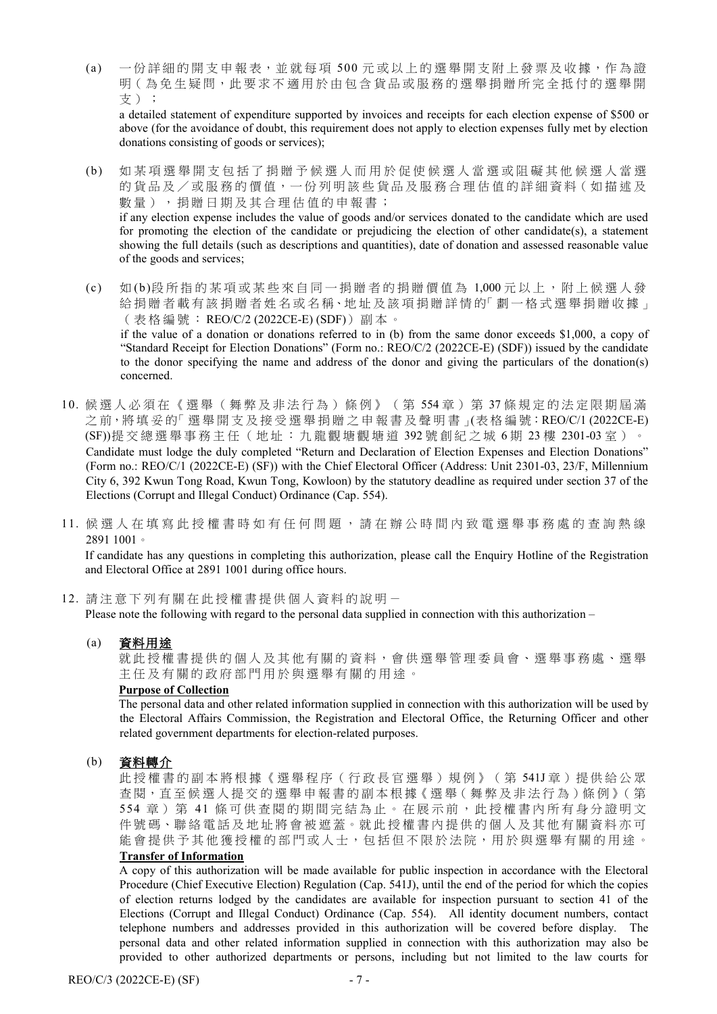(a) 一份詳細的開支申報表,並就每項 500 元 或 以 上 的 選 舉 開 支 附 上 發 票 及 收 據,作 為 證 明(為免生疑問,此要求不適用於由包含貨品或服務的選舉捐贈所完全抵付的選舉開 支);

a detailed statement of expenditure supported by invoices and receipts for each election expense of \$500 or above (for the avoidance of doubt, this requirement does not apply to election expenses fully met by election donations consisting of goods or services);

- (b) 如 某 項 選 舉 開 支 包 括 了 捐 贈 予 候 選 人 而 用 於 促 使 候 選 人 當 選 或 阻 礙 其 他 候選人當選 的貨品及/或服務的價值,一份列明該些貨品及服務合理估值的詳細資料(如描述及 數量),捐贈日期及其合理估值的申報書; if any election expense includes the value of goods and/or services donated to the candidate which are used for promoting the election of the candidate or prejudicing the election of other candidate(s), a statement showing the full details (such as descriptions and quantities), date of donation and assessed reasonable value of the goods and services;
- (c) 如 (b)段所指的某項或某些來自同一捐贈者的捐贈價值為 1,000 元 以 上 , 附 上 候 選人發 給捐贈者載有該捐贈者姓名或名稱、地址及該項捐贈詳情的「劃一格式選舉捐贈收據」 (表格編號: REO/C/2 (2022CE-E) (SDF))副本。 if the value of a donation or donations referred to in (b) from the same donor exceeds \$1,000, a copy of "Standard Receipt for Election Donations" (Form no.: REO/C/2 (2022CE-E) (SDF)) issued by the candidate to the donor specifying the name and address of the donor and giving the particulars of the donation(s) concerned.
- 10. 候 選人必須在《選舉(舞弊及非法行為)條例》(第 554 章)第 37 條 規 定 的 法 定 限期屆滿 之 前,將 填 妥 的「 選 舉 開 支 及 接 受 選 舉 捐 贈 之 申 報 書 及 聲 明 書 」(表 格 編 號:REO/C/1 (2022CE-E) (SF))提交總選舉事務主任(地址:九龍觀塘觀塘道 392 號創紀之城 6 期 23 樓 2301-03 室)。 Candidate must lodge the duly completed "Return and Declaration of Election Expenses and Election Donations" (Form no.: REO/C/1 (2022CE-E) (SF)) with the Chief Electoral Officer (Address: Unit 2301-03, 23/F, Millennium City 6, 392 Kwun Tong Road, Kwun Tong, Kowloon) by the statutory deadline as required under section 37 of the Elections (Corrupt and Illegal Conduct) Ordinance (Cap. 554).
- 11. 候 選 人 在 填 寫 此 授 權 書 時 如 有 任 何 問 題 , 請 在 辦 公 時 間 內 致 電 選 舉 事 務 處 的 查 詢 熱 線 2891 1001。

If candidate has any questions in completing this authorization, please call the Enquiry Hotline of the Registration and Electoral Office at 2891 1001 during office hours.

12. 請 注 意下列有關在此授權書提供個人資料的說明-

Please note the following with regard to the personal data supplied in connection with this authorization –

(a) 資料用途

就此授權書提供的個人及其他有關的資料,會供選舉管理委員會、選舉事務處、選舉 主任及有關的 政府部門用於與選舉有關的用途。

#### **Purpose of Collection**

The personal data and other related information supplied in connection with this authorization will be used by the Electoral Affairs Commission, the Registration and Electoral Office, the Returning Officer and other related government departments for election-related purposes.

#### (b) 資料轉介

此授權書的副本將根據《選舉程序(行政長官選舉)規例》(第541J章)提供給公眾 查閱,直至候選人提交的選舉申報書的副本根據《選舉(舞弊及非法行為)條例》(第 554 章)第 41 條可供查閱的期間完結為止。在展示前,此授權書內所有身分證明文 件號碼、聯絡電話及地址將會被遮蓋。就此授權書內提供的個人及其他有關資料亦可 能會提供予其他獲授權的部門或人士,包括但不限於法院,用於與選舉有關的用途。

### **Transfer of Information**

A copy of this authorization will be made available for public inspection in accordance with the Electoral Procedure (Chief Executive Election) Regulation (Cap. 541J), until the end of the period for which the copies of election returns lodged by the candidates are available for inspection pursuant to section 41 of the Elections (Corrupt and Illegal Conduct) Ordinance (Cap. 554). All identity document numbers, contact telephone numbers and addresses provided in this authorization will be covered before display. The personal data and other related information supplied in connection with this authorization may also be provided to other authorized departments or persons, including but not limited to the law courts for